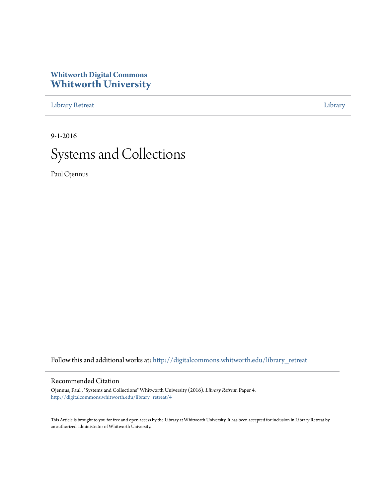#### **Whitworth Digital Commons [Whitworth University](http://digitalcommons.whitworth.edu?utm_source=digitalcommons.whitworth.edu%2Flibrary_retreat%2F4&utm_medium=PDF&utm_campaign=PDFCoverPages)**

[Library Retreat](http://digitalcommons.whitworth.edu/library_retreat?utm_source=digitalcommons.whitworth.edu%2Flibrary_retreat%2F4&utm_medium=PDF&utm_campaign=PDFCoverPages) [Library](http://digitalcommons.whitworth.edu/library?utm_source=digitalcommons.whitworth.edu%2Flibrary_retreat%2F4&utm_medium=PDF&utm_campaign=PDFCoverPages)

9-1-2016

#### Systems and Collections

Paul Ojennus

Follow this and additional works at: [http://digitalcommons.whitworth.edu/library\\_retreat](http://digitalcommons.whitworth.edu/library_retreat?utm_source=digitalcommons.whitworth.edu%2Flibrary_retreat%2F4&utm_medium=PDF&utm_campaign=PDFCoverPages)

#### Recommended Citation

Ojennus, Paul , "Systems and Collections" Whitworth University (2016). *Library Retreat.* Paper 4. [http://digitalcommons.whitworth.edu/library\\_retreat/4](http://digitalcommons.whitworth.edu/library_retreat/4?utm_source=digitalcommons.whitworth.edu%2Flibrary_retreat%2F4&utm_medium=PDF&utm_campaign=PDFCoverPages)

This Article is brought to you for free and open access by the Library at Whitworth University. It has been accepted for inclusion in Library Retreat by an authorized administrator of Whitworth University.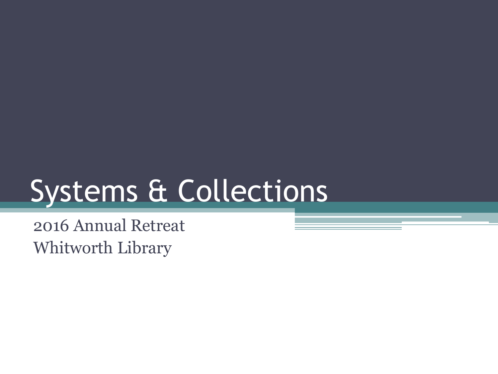## Systems & Collections

2016 Annual Retreat Whitworth Library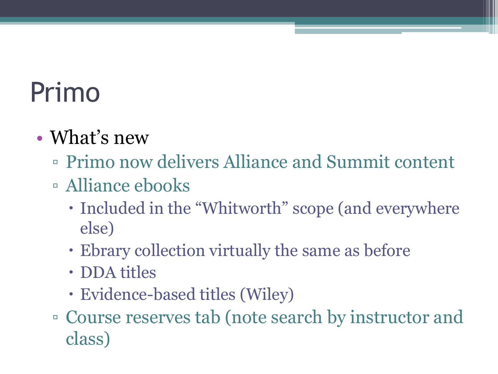### Primo

#### • What's new

- Primo now delivers Alliance and Summit content
- Alliance ebooks
	- Included in the "Whitworth" scope (and everywhere else)
	- Ebrary collection virtually the same as before
	- DDA titles
	- Evidence-based titles (Wiley)
- Course reserves tab (note search by instructor and class)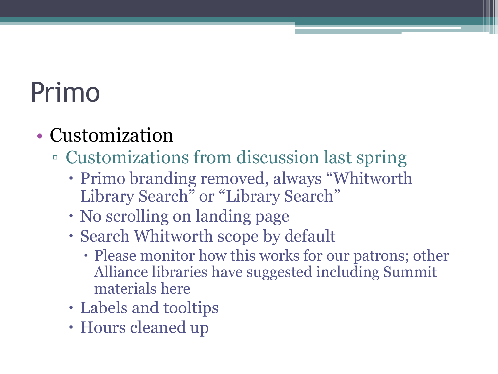### Primo

#### • Customization

- Customizations from discussion last spring
	- Primo branding removed, always "Whitworth Library Search" or "Library Search"
	- No scrolling on landing page
	- Search Whitworth scope by default
		- Please monitor how this works for our patrons; other Alliance libraries have suggested including Summit materials here
	- Labels and tooltips
	- Hours cleaned up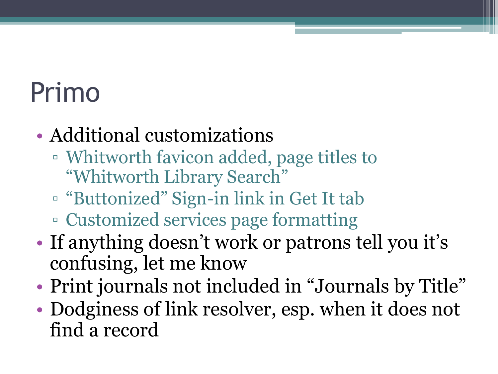### Primo

- Additional customizations
	- Whitworth favicon added, page titles to "Whitworth Library Search"
	- "Buttonized" Sign-in link in Get It tab ▫ Customized services page formatting
- If anything doesn't work or patrons tell you it's confusing, let me know
- Print journals not included in "Journals by Title"
- Dodginess of link resolver, esp. when it does not find a record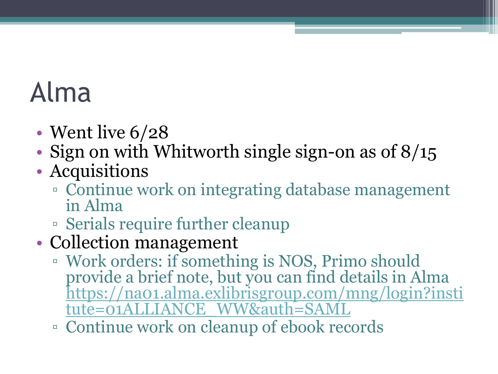#### Alma

- Went live  $6/28$
- Sign on with Whitworth single sign-on as of 8/15
- Acquisitions
	- Continue work on integrating database management in Alma
	- Serials require further cleanup
- Collection management
	- Work orders: if something is NOS, Primo should provide a brief note, but you can find details in Alma [https://na01.alma.exlibrisgroup.com/mng/login?insti](https://na01.alma.exlibrisgroup.com/mng/login?institute=01ALLIANCE_WW&auth=SAML) tute=01ALLIANCE\_WW&auth=SAML
	- Continue work on cleanup of ebook records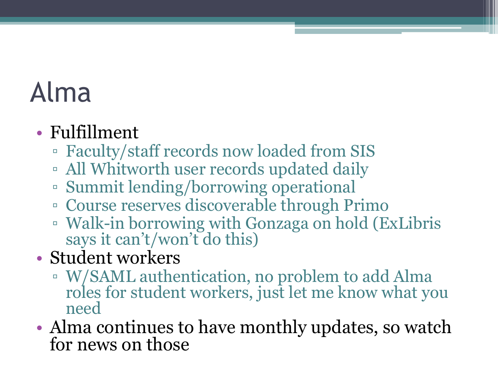#### Alma

#### • Fulfillment

- Faculty/staff records now loaded from SIS
- All Whitworth user records updated daily
- Summit lending/borrowing operational
- Course reserves discoverable through Primo
- Walk-in borrowing with Gonzaga on hold (ExLibris says it can't/won't do this)
- Student workers
	- W/SAML authentication, no problem to add Alma roles for student workers, just let me know what you need
- Alma continues to have monthly updates, so watch for news on those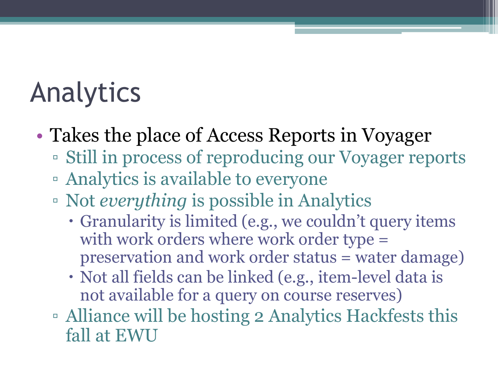### Analytics

- Takes the place of Access Reports in Voyager
	- Still in process of reproducing our Voyager reports
	- Analytics is available to everyone
	- Not *everything* is possible in Analytics
		- Granularity is limited (e.g., we couldn't query items with work orders where work order type = preservation and work order status = water damage)
		- Not all fields can be linked (e.g., item-level data is not available for a query on course reserves)
	- Alliance will be hosting 2 Analytics Hackfests this fall at EWU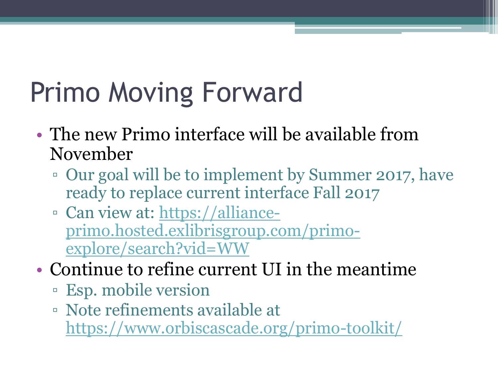# Primo Moving Forward

- The new Primo interface will be available from November
	- Our goal will be to implement by Summer 2017, have ready to replace current interface Fall 2017
	- Can view at: https://alliance[primo.hosted.exlibrisgroup.com/primo](https://alliance-primo.hosted.exlibrisgroup.com/primo-explore/search?vid=WW)explore/search?vid=WW
- Continue to refine current UI in the meantime
	- Esp. mobile version
	- Note refinements available at <https://www.orbiscascade.org/primo-toolkit/>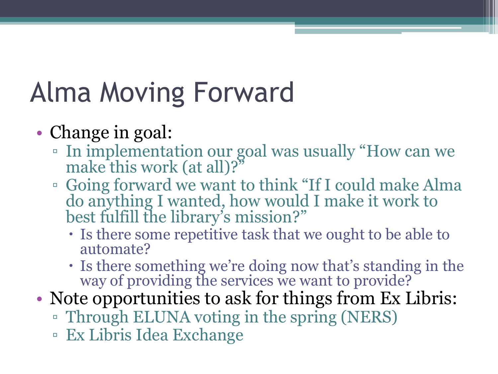## Alma Moving Forward

- Change in goal:
	- In implementation our goal was usually "How can we make this work (at all)?"
	- Going forward we want to think "If I could make Alma do anything I wanted, how would I make it work to best fulfill the library's mission?"
		- Is there some repetitive task that we ought to be able to automate?
		- Is there something we're doing now that's standing in the way of providing the services we want to provide?
- Note opportunities to ask for things from Ex Libris:
	- Through ELUNA voting in the spring (NERS)
	- Ex Libris Idea Exchange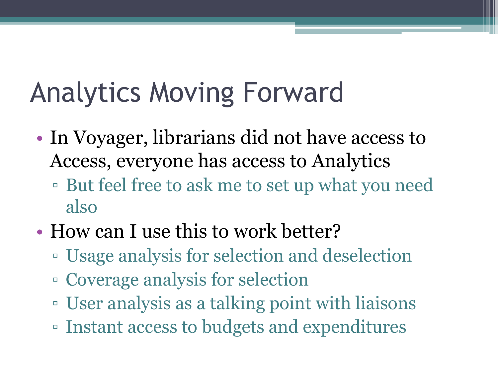## Analytics Moving Forward

- In Voyager, librarians did not have access to Access, everyone has access to Analytics
	- But feel free to ask me to set up what you need also
- How can I use this to work better?
	- Usage analysis for selection and deselection
	- Coverage analysis for selection
	- User analysis as a talking point with liaisons
	- Instant access to budgets and expenditures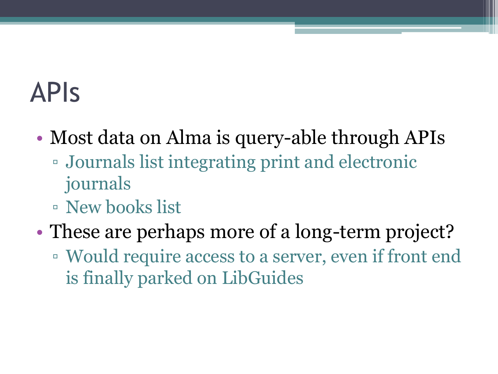#### APIs

- Most data on Alma is query-able through APIs
	- Journals list integrating print and electronic journals
	- New books list
- These are perhaps more of a long-term project?
	- Would require access to a server, even if front end is finally parked on LibGuides